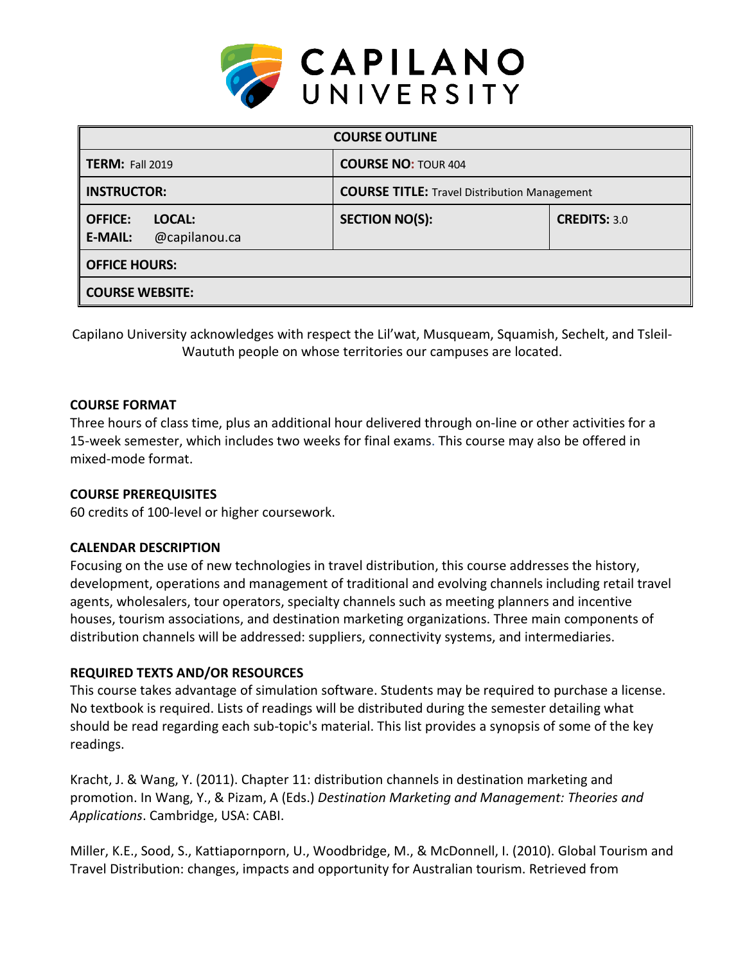

| <b>COURSE OUTLINE</b>                                       |                                                     |                     |  |  |  |
|-------------------------------------------------------------|-----------------------------------------------------|---------------------|--|--|--|
| <b>TERM: Fall 2019</b>                                      | <b>COURSE NO: TOUR 404</b>                          |                     |  |  |  |
| <b>INSTRUCTOR:</b>                                          | <b>COURSE TITLE:</b> Travel Distribution Management |                     |  |  |  |
| <b>OFFICE:</b><br>LOCAL:<br>@capilanou.ca<br><b>E-MAIL:</b> | <b>SECTION NO(S):</b>                               | <b>CREDITS: 3.0</b> |  |  |  |
| <b>OFFICE HOURS:</b>                                        |                                                     |                     |  |  |  |
| <b>COURSE WEBSITE:</b>                                      |                                                     |                     |  |  |  |

Capilano University acknowledges with respect the Lil'wat, Musqueam, Squamish, Sechelt, and Tsleil-Waututh people on whose territories our campuses are located.

#### **COURSE FORMAT**

Three hours of class time, plus an additional hour delivered through on-line or other activities for a 15-week semester, which includes two weeks for final exams. This course may also be offered in mixed-mode format.

#### **COURSE PREREQUISITES**

60 credits of 100-level or higher coursework.

#### **CALENDAR DESCRIPTION**

Focusing on the use of new technologies in travel distribution, this course addresses the history, development, operations and management of traditional and evolving channels including retail travel agents, wholesalers, tour operators, specialty channels such as meeting planners and incentive houses, tourism associations, and destination marketing organizations. Three main components of distribution channels will be addressed: suppliers, connectivity systems, and intermediaries.

#### **REQUIRED TEXTS AND/OR RESOURCES**

This course takes advantage of simulation software. Students may be required to purchase a license. No textbook is required. Lists of readings will be distributed during the semester detailing what should be read regarding each sub-topic's material. This list provides a synopsis of some of the key readings.

Kracht, J. & Wang, Y. (2011). Chapter 11: distribution channels in destination marketing and promotion. In Wang, Y., & Pizam, A (Eds.) *Destination Marketing and Management: Theories and Applications*. Cambridge, USA: CABI.

Miller, K.E., Sood, S., Kattiapornporn, U., Woodbridge, M., & McDonnell, I. (2010). Global Tourism and Travel Distribution: changes, impacts and opportunity for Australian tourism. Retrieved from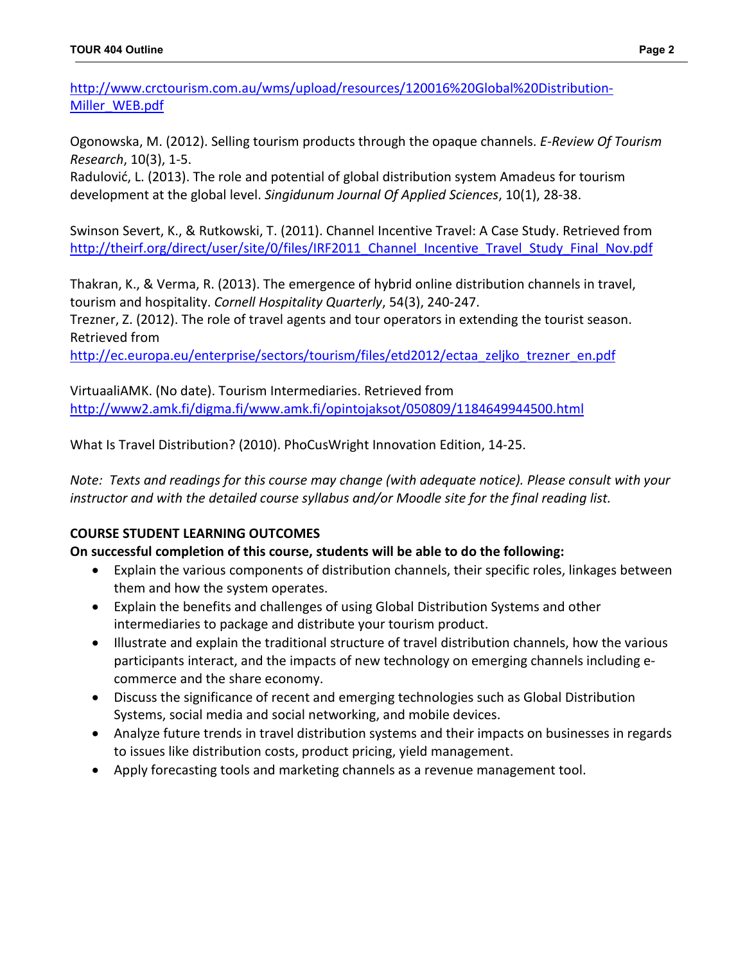[http://www.crctourism.com.au/wms/upload/resources/120016%20Global%20Distribution-](http://www.crctourism.com.au/wms/upload/resources/120016%20Global%20Distribution-Miller_WEB.pdf)[Miller\\_WEB.pdf](http://www.crctourism.com.au/wms/upload/resources/120016%20Global%20Distribution-Miller_WEB.pdf) 

Ogonowska, M. (2012). Selling tourism products through the opaque channels. *E-Review Of Tourism Research*, 10(3), 1-5.

Radulović, L. (2013). The role and potential of global distribution system Amadeus for tourism development at the global level. *Singidunum Journal Of Applied Sciences*, 10(1), 28-38.

Swinson Severt, K., & Rutkowski, T. (2011). Channel Incentive Travel: A Case Study. Retrieved from http://theirf.org/direct/user/site/0/files/IRF2011 Channel Incentive Travel Study Final Nov.pdf

Thakran, K., & Verma, R. (2013). The emergence of hybrid online distribution channels in travel, tourism and hospitality. *Cornell Hospitality Quarterly*, 54(3), 240-247.

Trezner, Z. (2012). The role of travel agents and tour operators in extending the tourist season. Retrieved from

[http://ec.europa.eu/enterprise/sectors/tourism/files/etd2012/ectaa\\_zeljko\\_trezner\\_en.pdf](http://ec.europa.eu/enterprise/sectors/tourism/files/etd2012/ectaa_zeljko_trezner_en.pdf)

VirtuaaliAMK. (No date). Tourism Intermediaries. Retrieved from <http://www2.amk.fi/digma.fi/www.amk.fi/opintojaksot/050809/1184649944500.html>

What Is Travel Distribution? (2010). PhoCusWright Innovation Edition, 14-25.

*Note: Texts and readings for this course may change (with adequate notice). Please consult with your instructor and with the detailed course syllabus and/or Moodle site for the final reading list.*

# **COURSE STUDENT LEARNING OUTCOMES**

### **On successful completion of this course, students will be able to do the following:**

- Explain the various components of distribution channels, their specific roles, linkages between them and how the system operates.
- Explain the benefits and challenges of using Global Distribution Systems and other intermediaries to package and distribute your tourism product.
- Illustrate and explain the traditional structure of travel distribution channels, how the various participants interact, and the impacts of new technology on emerging channels including ecommerce and the share economy.
- Discuss the significance of recent and emerging technologies such as Global Distribution Systems, social media and social networking, and mobile devices.
- Analyze future trends in travel distribution systems and their impacts on businesses in regards to issues like distribution costs, product pricing, yield management.
- Apply forecasting tools and marketing channels as a revenue management tool.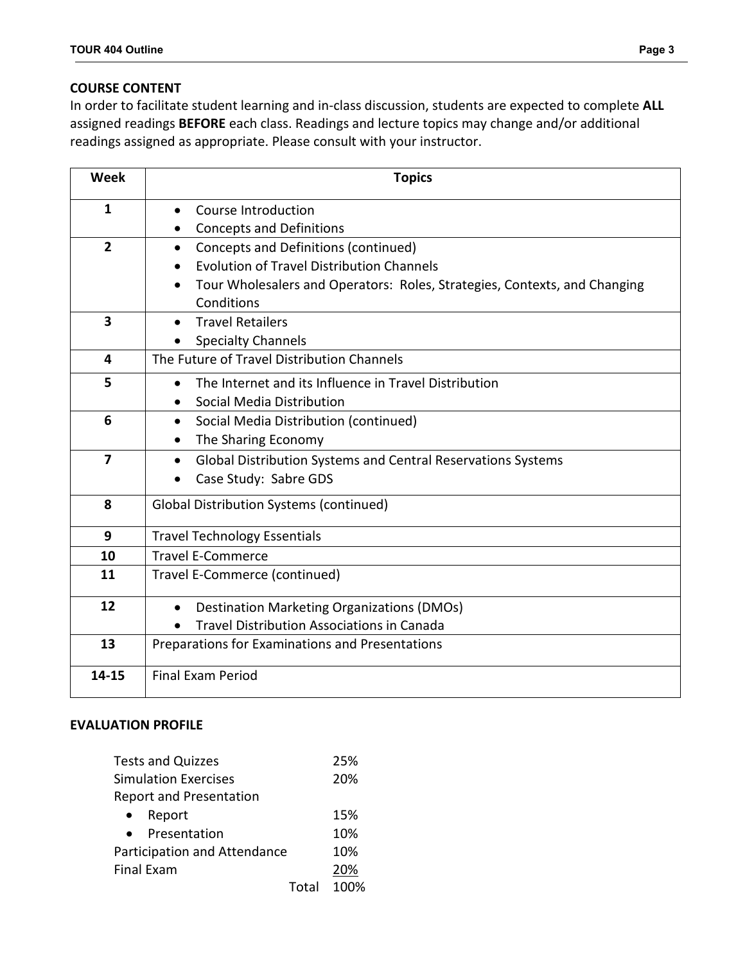### **COURSE CONTENT**

In order to facilitate student learning and in-class discussion, students are expected to complete **ALL** assigned readings **BEFORE** each class. Readings and lecture topics may change and/or additional readings assigned as appropriate. Please consult with your instructor.

| <b>Week</b>             | <b>Topics</b>                                                             |  |  |  |
|-------------------------|---------------------------------------------------------------------------|--|--|--|
| 1                       | Course Introduction<br>$\bullet$                                          |  |  |  |
|                         | <b>Concepts and Definitions</b>                                           |  |  |  |
| $\overline{2}$          | Concepts and Definitions (continued)                                      |  |  |  |
|                         | <b>Evolution of Travel Distribution Channels</b>                          |  |  |  |
|                         | Tour Wholesalers and Operators: Roles, Strategies, Contexts, and Changing |  |  |  |
|                         | Conditions                                                                |  |  |  |
| $\overline{\mathbf{3}}$ | <b>Travel Retailers</b>                                                   |  |  |  |
|                         | <b>Specialty Channels</b>                                                 |  |  |  |
| 4                       | The Future of Travel Distribution Channels                                |  |  |  |
| 5                       | The Internet and its Influence in Travel Distribution<br>$\bullet$        |  |  |  |
|                         | Social Media Distribution                                                 |  |  |  |
| 6                       | Social Media Distribution (continued)<br>$\bullet$                        |  |  |  |
|                         | The Sharing Economy                                                       |  |  |  |
| $\overline{7}$          | Global Distribution Systems and Central Reservations Systems              |  |  |  |
|                         | Case Study: Sabre GDS<br>$\bullet$                                        |  |  |  |
| 8                       | <b>Global Distribution Systems (continued)</b>                            |  |  |  |
| 9                       | <b>Travel Technology Essentials</b>                                       |  |  |  |
| 10                      | <b>Travel E-Commerce</b>                                                  |  |  |  |
| 11                      | Travel E-Commerce (continued)                                             |  |  |  |
|                         |                                                                           |  |  |  |
| 12                      | Destination Marketing Organizations (DMOs)<br>$\bullet$                   |  |  |  |
|                         | <b>Travel Distribution Associations in Canada</b>                         |  |  |  |
| 13                      | Preparations for Examinations and Presentations                           |  |  |  |
| 14-15                   | <b>Final Exam Period</b>                                                  |  |  |  |

### **EVALUATION PROFILE**

| <b>Tests and Quizzes</b>       | 25%  |
|--------------------------------|------|
| <b>Simulation Exercises</b>    | 20%  |
| <b>Report and Presentation</b> |      |
| Report                         | 15%  |
| Presentation                   | 10%  |
| Participation and Attendance   | 10%  |
| <b>Final Exam</b>              | 20%  |
| Total                          | 100% |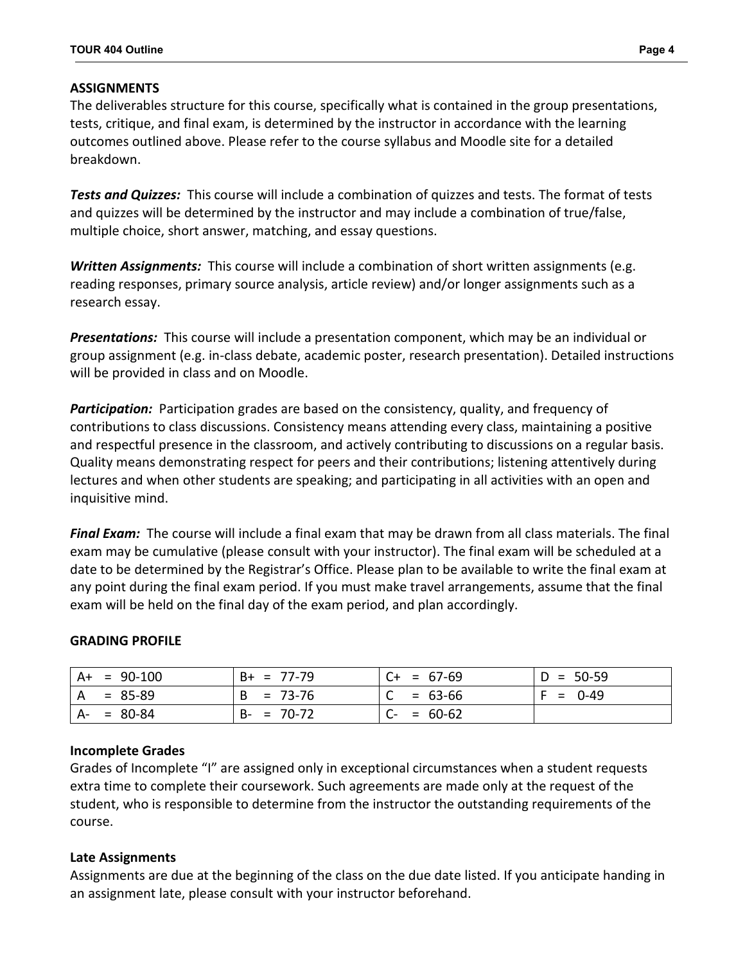#### **ASSIGNMENTS**

The deliverables structure for this course, specifically what is contained in the group presentations, tests, critique, and final exam, is determined by the instructor in accordance with the learning outcomes outlined above. Please refer to the course syllabus and Moodle site for a detailed breakdown.

*Tests and Quizzes:*This course will include a combination of quizzes and tests. The format of tests and quizzes will be determined by the instructor and may include a combination of true/false, multiple choice, short answer, matching, and essay questions.

**Written Assignments:** This course will include a combination of short written assignments (e.g. reading responses, primary source analysis, article review) and/or longer assignments such as a research essay.

*Presentations:* This course will include a presentation component, which may be an individual or group assignment (e.g. in-class debate, academic poster, research presentation). Detailed instructions will be provided in class and on Moodle.

*Participation:* Participation grades are based on the consistency, quality, and frequency of contributions to class discussions. Consistency means attending every class, maintaining a positive and respectful presence in the classroom, and actively contributing to discussions on a regular basis. Quality means demonstrating respect for peers and their contributions; listening attentively during lectures and when other students are speaking; and participating in all activities with an open and inquisitive mind.

*Final Exam:* The course will include a final exam that may be drawn from all class materials. The final exam may be cumulative (please consult with your instructor). The final exam will be scheduled at a date to be determined by the Registrar's Office. Please plan to be available to write the final exam at any point during the final exam period. If you must make travel arrangements, assume that the final exam will be held on the final day of the exam period, and plan accordingly.

#### **GRADING PROFILE**

|    | $A+ = 90-100$ | $B+ = 77-79$    | $C+ = 67-69$    | $D = 50-59$ |
|----|---------------|-----------------|-----------------|-------------|
| A  | $= 85-89$     | $= 73-76$<br>B  | $= 63-66$       | $= 0-49$    |
| A- | $= 80-84$     | $= 70-72$<br>B- | $= 60-62$<br>U- |             |

#### **Incomplete Grades**

Grades of Incomplete "I" are assigned only in exceptional circumstances when a student requests extra time to complete their coursework. Such agreements are made only at the request of the student, who is responsible to determine from the instructor the outstanding requirements of the course.

#### **Late Assignments**

Assignments are due at the beginning of the class on the due date listed. If you anticipate handing in an assignment late, please consult with your instructor beforehand.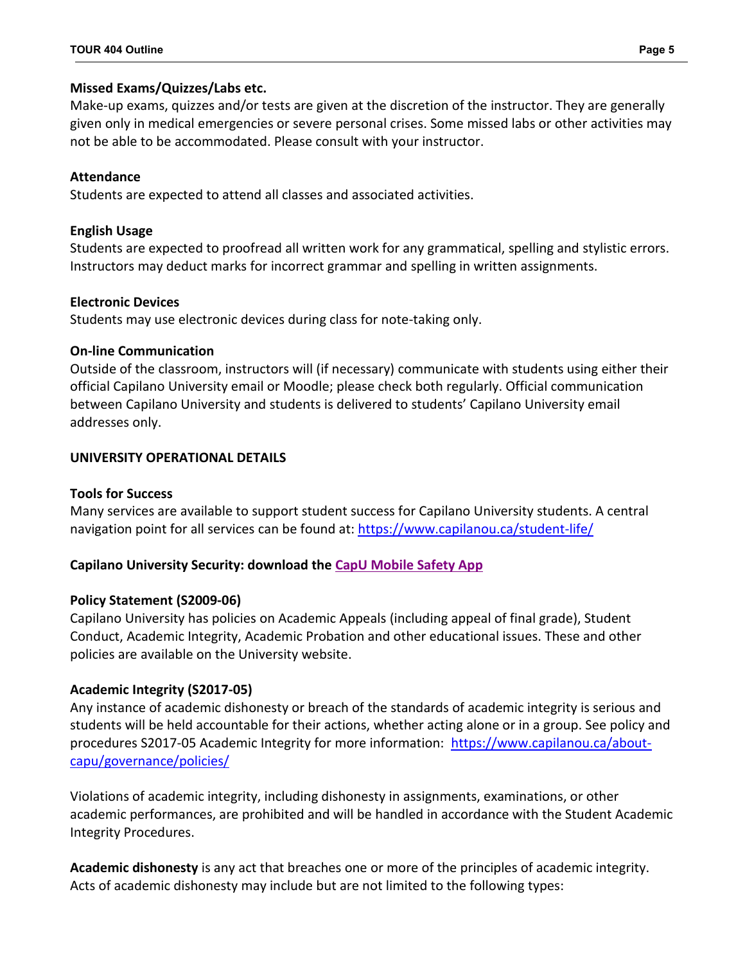### **Missed Exams/Quizzes/Labs etc.**

Make-up exams, quizzes and/or tests are given at the discretion of the instructor. They are generally given only in medical emergencies or severe personal crises. Some missed labs or other activities may not be able to be accommodated. Please consult with your instructor.

## **Attendance**

Students are expected to attend all classes and associated activities.

## **English Usage**

Students are expected to proofread all written work for any grammatical, spelling and stylistic errors. Instructors may deduct marks for incorrect grammar and spelling in written assignments.

## **Electronic Devices**

Students may use electronic devices during class for note-taking only.

## **On-line Communication**

Outside of the classroom, instructors will (if necessary) communicate with students using either their official Capilano University email or Moodle; please check both regularly. Official communication between Capilano University and students is delivered to students' Capilano University email addresses only.

# **UNIVERSITY OPERATIONAL DETAILS**

### **Tools for Success**

Many services are available to support student success for Capilano University students. A central navigation point for all services can be found at:<https://www.capilanou.ca/student-life/>

# **Capilano University Security: download the [CapU Mobile Safety App](https://www.capilanou.ca/student-life/support--wellness/safety--security/capu-safe-app/)**

# **Policy Statement (S2009-06)**

Capilano University has policies on Academic Appeals (including appeal of final grade), Student Conduct, Academic Integrity, Academic Probation and other educational issues. These and other policies are available on the University website.

# **Academic Integrity (S2017-05)**

Any instance of academic dishonesty or breach of the standards of academic integrity is serious and students will be held accountable for their actions, whether acting alone or in a group. See policy and procedures S2017-05 Academic Integrity for more information: [https://www.capilanou.ca/about](https://www.capilanou.ca/about-capu/governance/policies/)[capu/governance/policies/](https://www.capilanou.ca/about-capu/governance/policies/)

Violations of academic integrity, including dishonesty in assignments, examinations, or other academic performances, are prohibited and will be handled in accordance with the Student Academic Integrity Procedures.

**Academic dishonesty** is any act that breaches one or more of the principles of academic integrity. Acts of academic dishonesty may include but are not limited to the following types: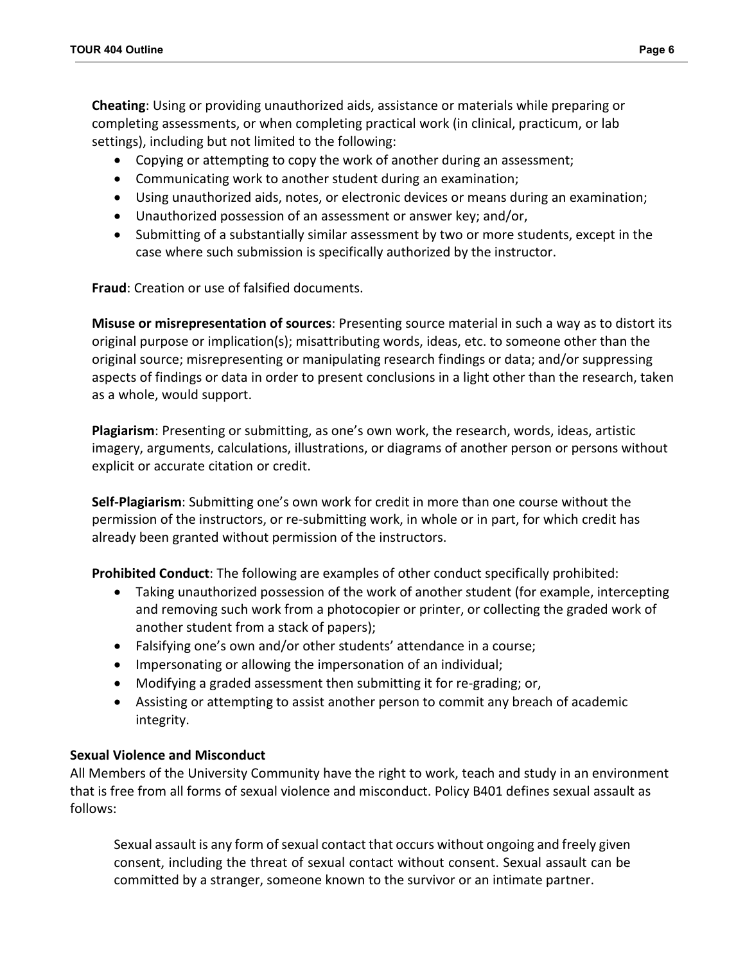**Cheating**: Using or providing unauthorized aids, assistance or materials while preparing or completing assessments, or when completing practical work (in clinical, practicum, or lab settings), including but not limited to the following:

- Copying or attempting to copy the work of another during an assessment;
- Communicating work to another student during an examination;
- Using unauthorized aids, notes, or electronic devices or means during an examination;
- Unauthorized possession of an assessment or answer key; and/or,
- Submitting of a substantially similar assessment by two or more students, except in the case where such submission is specifically authorized by the instructor.

**Fraud**: Creation or use of falsified documents.

**Misuse or misrepresentation of sources**: Presenting source material in such a way as to distort its original purpose or implication(s); misattributing words, ideas, etc. to someone other than the original source; misrepresenting or manipulating research findings or data; and/or suppressing aspects of findings or data in order to present conclusions in a light other than the research, taken as a whole, would support.

**Plagiarism**: Presenting or submitting, as one's own work, the research, words, ideas, artistic imagery, arguments, calculations, illustrations, or diagrams of another person or persons without explicit or accurate citation or credit.

**Self-Plagiarism**: Submitting one's own work for credit in more than one course without the permission of the instructors, or re-submitting work, in whole or in part, for which credit has already been granted without permission of the instructors.

**Prohibited Conduct**: The following are examples of other conduct specifically prohibited:

- Taking unauthorized possession of the work of another student (for example, intercepting and removing such work from a photocopier or printer, or collecting the graded work of another student from a stack of papers);
- Falsifying one's own and/or other students' attendance in a course;
- Impersonating or allowing the impersonation of an individual;
- Modifying a graded assessment then submitting it for re-grading; or,
- Assisting or attempting to assist another person to commit any breach of academic integrity.

### **Sexual Violence and Misconduct**

All Members of the University Community have the right to work, teach and study in an environment that is free from all forms of sexual violence and misconduct. Policy B401 defines sexual assault as follows:

Sexual assault is any form of sexual contact that occurs without ongoing and freely given consent, including the threat of sexual contact without consent. Sexual assault can be committed by a stranger, someone known to the survivor or an intimate partner.